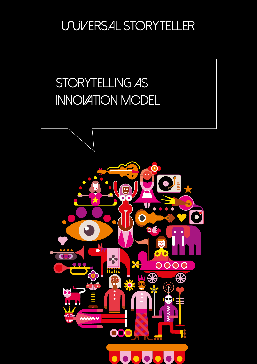**UNIVERSAL STORYTELLER** 



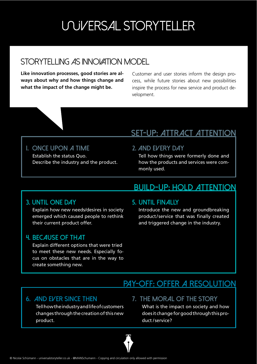# **UNIVERSAL STORYTELLER**

## STORYTELLING AS INNOVATION MODEL

**Like innovation processes, good stories are always about why and how things change and what the impact of the change might be.** 

Customer and user stories inform the design process, while future stories about new possibilities inspire the process for new service and product development.

### **Set-up: attract attention**

#### **I. Once upon a time** Establish the status Quo. Describe the industry and the product.

### **2. And every day**

Tell how things were formerly done and how the products and services were commonly used.

### **build-up: hold attention**

### **3. Until one day**

Explain how new needs/desires in society emerged which caused people to rethink their current product offer.

### **4. Because of that**

Explain different options that were tried to meet these new needs. Especially focus on obstacles that are in the way to create something new.

### **5. UNTIL FINALLY**

Introduce the new and groundbreaking product/service that was finally created and triggered change in the industry.

## **pay-off: offer a resolution**

#### **6. And ever since then**

Tell how the industry and life of customers changes through the creation of this new product.

**7. The moral of the story**

What is the impact on society and how does it change for good through this product /service?